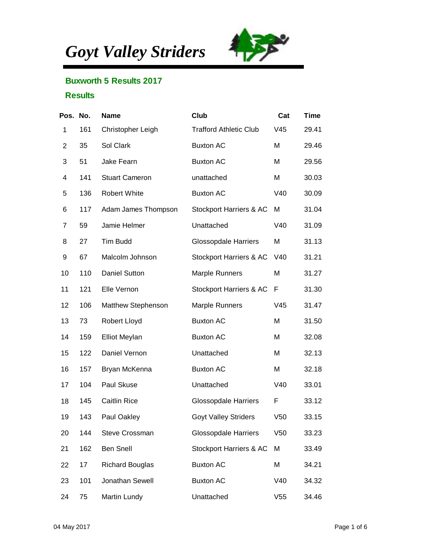*Goyt Valley Striders*



## Buxworth 5 Results 2017

## **Results**

| Pos. No.       |     | Name                   | Club                          | Cat             | <b>Time</b> |
|----------------|-----|------------------------|-------------------------------|-----------------|-------------|
| 1              | 161 | Christopher Leigh      | <b>Trafford Athletic Club</b> | V45             | 29.41       |
| $\overline{c}$ | 35  | Sol Clark              | <b>Buxton AC</b>              | M               | 29.46       |
| 3              | 51  | Jake Fearn             | <b>Buxton AC</b>              | M               | 29.56       |
| 4              | 141 | <b>Stuart Cameron</b>  | unattached                    | M               | 30.03       |
| 5              | 136 | Robert White           | <b>Buxton AC</b>              | V40             | 30.09       |
| 6              | 117 | Adam James Thompson    | Stockport Harriers & AC       | M               | 31.04       |
| 7              | 59  | Jamie Helmer           | Unattached                    | V40             | 31.09       |
| 8              | 27  | <b>Tim Budd</b>        | <b>Glossopdale Harriers</b>   | M               | 31.13       |
| 9              | 67  | Malcolm Johnson        | Stockport Harriers & AC       | V40             | 31.21       |
| 10             | 110 | Daniel Sutton          | <b>Marple Runners</b>         | M               | 31.27       |
| 11             | 121 | Elle Vernon            | Stockport Harriers & AC       | F               | 31.30       |
| 12             | 106 | Matthew Stephenson     | <b>Marple Runners</b>         | V45             | 31.47       |
| 13             | 73  | Robert Lloyd           | <b>Buxton AC</b>              | M               | 31.50       |
| 14             | 159 | <b>Elliot Meylan</b>   | <b>Buxton AC</b>              | M               | 32.08       |
| 15             | 122 | Daniel Vernon          | Unattached                    | M               | 32.13       |
| 16             | 157 | Bryan McKenna          | <b>Buxton AC</b>              | M               | 32.18       |
| 17             | 104 | Paul Skuse             | Unattached                    | V40             | 33.01       |
| 18             | 145 | <b>Caitlin Rice</b>    | <b>Glossopdale Harriers</b>   | F               | 33.12       |
| 19             | 143 | Paul Oakley            | <b>Goyt Valley Striders</b>   | V50             | 33.15       |
| 20             | 144 | <b>Steve Crossman</b>  | <b>Glossopdale Harriers</b>   | V <sub>50</sub> | 33.23       |
| 21             | 162 | <b>Ben Snell</b>       | Stockport Harriers & AC       | M               | 33.49       |
| 22             | 17  | <b>Richard Bouglas</b> | <b>Buxton AC</b>              | M               | 34.21       |
| 23             | 101 | Jonathan Sewell        | <b>Buxton AC</b>              | V40             | 34.32       |
| 24             | 75  | Martin Lundy           | Unattached                    | V55             | 34.46       |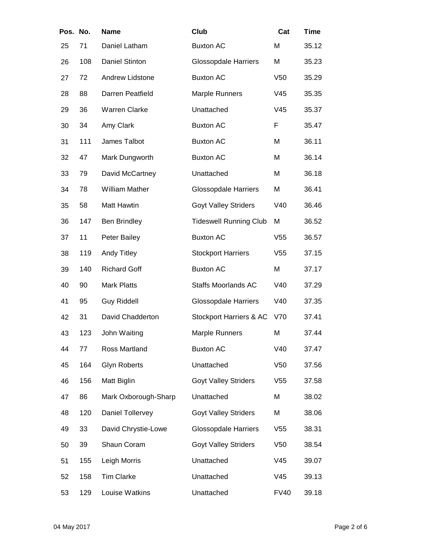| Pos. No. |     | Name                  | Club                          | Cat             | <b>Time</b> |
|----------|-----|-----------------------|-------------------------------|-----------------|-------------|
| 25       | 71  | Daniel Latham         | <b>Buxton AC</b>              | M               | 35.12       |
| 26       | 108 | <b>Daniel Stinton</b> | <b>Glossopdale Harriers</b>   | M               | 35.23       |
| 27       | 72  | Andrew Lidstone       | <b>Buxton AC</b>              | V <sub>50</sub> | 35.29       |
| 28       | 88  | Darren Peatfield      | Marple Runners                | V45             | 35.35       |
| 29       | 36  | <b>Warren Clarke</b>  | Unattached                    | V45             | 35.37       |
| 30       | 34  | Amy Clark             | <b>Buxton AC</b>              | F               | 35.47       |
| 31       | 111 | James Talbot          | <b>Buxton AC</b>              | Μ               | 36.11       |
| 32       | 47  | Mark Dungworth        | <b>Buxton AC</b>              | Μ               | 36.14       |
| 33       | 79  | David McCartney       | Unattached                    | Μ               | 36.18       |
| 34       | 78  | <b>William Mather</b> | <b>Glossopdale Harriers</b>   | M               | 36.41       |
| 35       | 58  | <b>Matt Hawtin</b>    | <b>Goyt Valley Striders</b>   | V40             | 36.46       |
| 36       | 147 | <b>Ben Brindley</b>   | <b>Tideswell Running Club</b> | M               | 36.52       |
| 37       | 11  | Peter Bailey          | <b>Buxton AC</b>              | V55             | 36.57       |
| 38       | 119 | Andy Titley           | <b>Stockport Harriers</b>     | V <sub>55</sub> | 37.15       |
| 39       | 140 | <b>Richard Goff</b>   | <b>Buxton AC</b>              | M               | 37.17       |
| 40       | 90  | <b>Mark Platts</b>    | <b>Staffs Moorlands AC</b>    | V40             | 37.29       |
| 41       | 95  | <b>Guy Riddell</b>    | <b>Glossopdale Harriers</b>   | V40             | 37.35       |
| 42       | 31  | David Chadderton      | Stockport Harriers & AC       | V70             | 37.41       |
| 43       | 123 | John Waiting          | Marple Runners                | Μ               | 37.44       |
| 44       | 77  | Ross Martland         | <b>Buxton AC</b>              | V40             | 37.47       |
| 45       | 164 | <b>Glyn Roberts</b>   | Unattached                    | V <sub>50</sub> | 37.56       |
| 46       | 156 | Matt Biglin           | <b>Goyt Valley Striders</b>   | V <sub>55</sub> | 37.58       |
| 47       | 86  | Mark Oxborough-Sharp  | Unattached                    | M               | 38.02       |
| 48       | 120 | Daniel Tollervey      | <b>Goyt Valley Striders</b>   | М               | 38.06       |
| 49       | 33  | David Chrystie-Lowe   | <b>Glossopdale Harriers</b>   | V <sub>55</sub> | 38.31       |
| 50       | 39  | Shaun Coram           | <b>Goyt Valley Striders</b>   | V <sub>50</sub> | 38.54       |
| 51       | 155 | Leigh Morris          | Unattached                    | V45             | 39.07       |
| 52       | 158 | <b>Tim Clarke</b>     | Unattached                    | V45             | 39.13       |
| 53       | 129 | Louise Watkins        | Unattached                    | <b>FV40</b>     | 39.18       |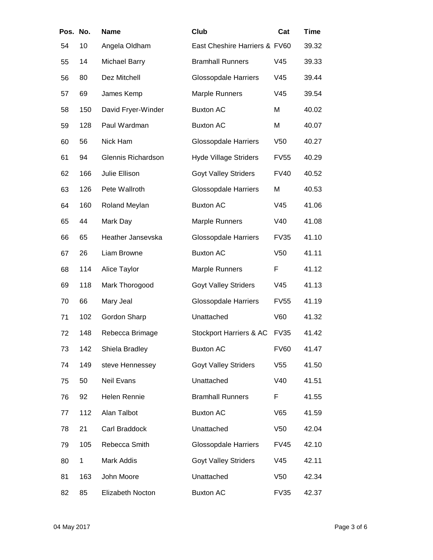| Pos. | No. | Name                 | Club                          | Cat             | Time  |
|------|-----|----------------------|-------------------------------|-----------------|-------|
| 54   | 10  | Angela Oldham        | East Cheshire Harriers & FV60 |                 | 39.32 |
| 55   | 14  | <b>Michael Barry</b> | <b>Bramhall Runners</b>       | V45             | 39.33 |
| 56   | 80  | Dez Mitchell         | <b>Glossopdale Harriers</b>   | V45             | 39.44 |
| 57   | 69  | James Kemp           | <b>Marple Runners</b>         | V45             | 39.54 |
| 58   | 150 | David Fryer-Winder   | <b>Buxton AC</b>              | M               | 40.02 |
| 59   | 128 | Paul Wardman         | <b>Buxton AC</b>              | M               | 40.07 |
| 60   | 56  | Nick Ham             | <b>Glossopdale Harriers</b>   | V50             | 40.27 |
| 61   | 94  | Glennis Richardson   | <b>Hyde Village Striders</b>  | <b>FV55</b>     | 40.29 |
| 62   | 166 | Julie Ellison        | <b>Goyt Valley Striders</b>   | <b>FV40</b>     | 40.52 |
| 63   | 126 | Pete Wallroth        | <b>Glossopdale Harriers</b>   | M               | 40.53 |
| 64   | 160 | Roland Meylan        | <b>Buxton AC</b>              | V45             | 41.06 |
| 65   | 44  | Mark Day             | <b>Marple Runners</b>         | V40             | 41.08 |
| 66   | 65  | Heather Jansevska    | <b>Glossopdale Harriers</b>   | <b>FV35</b>     | 41.10 |
| 67   | 26  | Liam Browne          | <b>Buxton AC</b>              | V <sub>50</sub> | 41.11 |
| 68   | 114 | Alice Taylor         | Marple Runners                | F               | 41.12 |
| 69   | 118 | Mark Thorogood       | <b>Goyt Valley Striders</b>   | V45             | 41.13 |
| 70   | 66  | Mary Jeal            | <b>Glossopdale Harriers</b>   | <b>FV55</b>     | 41.19 |
| 71   | 102 | Gordon Sharp         | Unattached                    | V60             | 41.32 |
| 72   | 148 | Rebecca Brimage      | Stockport Harriers & AC       | <b>FV35</b>     | 41.42 |
| 73   | 142 | Shiela Bradley       | <b>Buxton AC</b>              | <b>FV60</b>     | 41.47 |
| 74   | 149 | steve Hennessey      | <b>Goyt Valley Striders</b>   | V <sub>55</sub> | 41.50 |
| 75   | 50  | Neil Evans           | Unattached                    | V40             | 41.51 |
| 76   | 92  | Helen Rennie         | <b>Bramhall Runners</b>       | F               | 41.55 |
| 77   | 112 | Alan Talbot          | <b>Buxton AC</b>              | V65             | 41.59 |
| 78   | 21  | Carl Braddock        | Unattached                    | V50             | 42.04 |
| 79   | 105 | Rebecca Smith        | <b>Glossopdale Harriers</b>   | <b>FV45</b>     | 42.10 |
| 80   | 1   | Mark Addis           | <b>Goyt Valley Striders</b>   | V45             | 42.11 |
| 81   | 163 | John Moore           | Unattached                    | V50             | 42.34 |
| 82   | 85  | Elizabeth Nocton     | <b>Buxton AC</b>              | <b>FV35</b>     | 42.37 |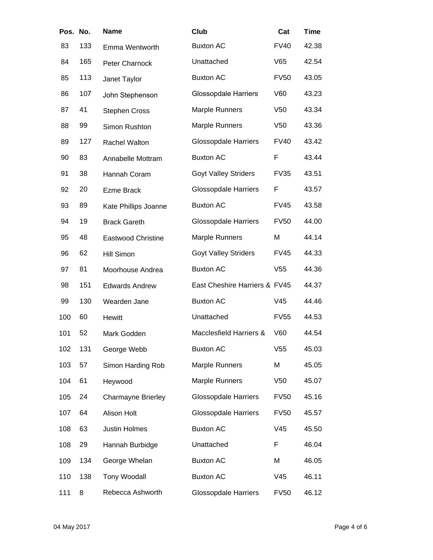| Pos. No. |     | Name                      | Club                          | Cat             | Time  |
|----------|-----|---------------------------|-------------------------------|-----------------|-------|
| 83       | 133 | Emma Wentworth            | <b>Buxton AC</b>              | <b>FV40</b>     | 42.38 |
| 84       | 165 | Peter Charnock            | Unattached                    | V65             | 42.54 |
| 85       | 113 | Janet Taylor              | <b>Buxton AC</b>              | <b>FV50</b>     | 43.05 |
| 86       | 107 | John Stephenson           | <b>Glossopdale Harriers</b>   | V60             | 43.23 |
| 87       | 41  | <b>Stephen Cross</b>      | <b>Marple Runners</b>         | V <sub>50</sub> | 43.34 |
| 88       | 99  | Simon Rushton             | Marple Runners                | V <sub>50</sub> | 43.36 |
| 89       | 127 | Rachel Walton             | <b>Glossopdale Harriers</b>   | <b>FV40</b>     | 43.42 |
| 90       | 83  | Annabelle Mottram         | <b>Buxton AC</b>              | F               | 43.44 |
| 91       | 38  | Hannah Coram              | <b>Goyt Valley Striders</b>   | <b>FV35</b>     | 43.51 |
| 92       | 20  | <b>Ezme Brack</b>         | <b>Glossopdale Harriers</b>   | F               | 43.57 |
| 93       | 89  | Kate Phillips Joanne      | <b>Buxton AC</b>              | <b>FV45</b>     | 43.58 |
| 94       | 19  | <b>Brack Gareth</b>       | <b>Glossopdale Harriers</b>   | <b>FV50</b>     | 44.00 |
| 95       | 48  | <b>Eastwood Christine</b> | Marple Runners                | M               | 44.14 |
| 96       | 62  | <b>Hill Simon</b>         | <b>Goyt Valley Striders</b>   | <b>FV45</b>     | 44.33 |
| 97       | 81  | Moorhouse Andrea          | <b>Buxton AC</b>              | V <sub>55</sub> | 44.36 |
| 98       | 151 | <b>Edwards Andrew</b>     | East Cheshire Harriers & FV45 |                 | 44.37 |
| 99       | 130 | Wearden Jane              | <b>Buxton AC</b>              | V45             | 44.46 |
| 100      | 60  | <b>Hewitt</b>             | Unattached                    | <b>FV55</b>     | 44.53 |
| 101      | 52  | Mark Godden               | Macclesfield Harriers &       | V60             | 44.54 |
| 102      | 131 | George Webb               | <b>Buxton AC</b>              | V55             | 45.03 |
| 103      | 57  | Simon Harding Rob         | Marple Runners                | M               | 45.05 |
| 104      | 61  | Heywood                   | <b>Marple Runners</b>         | V <sub>50</sub> | 45.07 |
| 105      | 24  | <b>Charmayne Brierley</b> | <b>Glossopdale Harriers</b>   | <b>FV50</b>     | 45.16 |
| 107      | 64  | Alison Holt               | <b>Glossopdale Harriers</b>   | <b>FV50</b>     | 45.57 |
| 108      | 63  | Justin Holmes             | <b>Buxton AC</b>              | V45             | 45.50 |
| 108      | 29  | Hannah Burbidge           | Unattached                    | F               | 46.04 |
| 109      | 134 | George Whelan             | <b>Buxton AC</b>              | M               | 46.05 |
| 110      | 138 | <b>Tony Woodall</b>       | <b>Buxton AC</b>              | V45             | 46.11 |
| 111      | 8   | Rebecca Ashworth          | <b>Glossopdale Harriers</b>   | <b>FV50</b>     | 46.12 |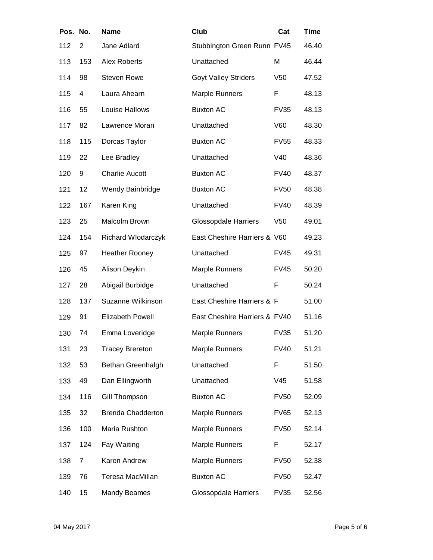| Pos. No. |                | Name                     | Club                          | Cat             | Time  |
|----------|----------------|--------------------------|-------------------------------|-----------------|-------|
| 112      | $\overline{2}$ | Jane Adlard              | Stubbington Green Runn FV45   |                 | 46.40 |
| 113      | 153            | <b>Alex Roberts</b>      | Unattached                    | M               | 46.44 |
| 114      | 98             | <b>Steven Rowe</b>       | <b>Goyt Valley Striders</b>   | V <sub>50</sub> | 47.52 |
| 115      | 4              | Laura Ahearn             | <b>Marple Runners</b>         | F               | 48.13 |
| 116      | 55             | Louise Hallows           | <b>Buxton AC</b>              | <b>FV35</b>     | 48.13 |
| 117      | 82             | Lawrence Moran           | Unattached                    | V60             | 48.30 |
| 118      | 115            | Dorcas Taylor            | <b>Buxton AC</b>              | <b>FV55</b>     | 48.33 |
| 119      | 22             | Lee Bradley              | Unattached                    | V40             | 48.36 |
| 120      | 9              | <b>Charlie Aucott</b>    | <b>Buxton AC</b>              | <b>FV40</b>     | 48.37 |
| 121      | 12             | Wendy Bainbridge         | <b>Buxton AC</b>              | <b>FV50</b>     | 48.38 |
| 122      | 167            | Karen King               | Unattached                    | <b>FV40</b>     | 48.39 |
| 123      | 25             | Malcolm Brown            | <b>Glossopdale Harriers</b>   | V <sub>50</sub> | 49.01 |
| 124      | 154            | Richard Wlodarczyk       | East Cheshire Harriers & V60  |                 | 49.23 |
| 125      | 97             | <b>Heather Rooney</b>    | Unattached                    | <b>FV45</b>     | 49.31 |
| 126      | 45             | Alison Deykin            | Marple Runners                | <b>FV45</b>     | 50.20 |
| 127      | 28             | Abigail Burbidge         | Unattached                    | F               | 50.24 |
| 128      | 137            | Suzanne Wilkinson        | East Cheshire Harriers & F    |                 | 51.00 |
| 129      | 91             | <b>Elizabeth Powell</b>  | East Cheshire Harriers & FV40 |                 | 51.16 |
| 130      | 74             | Emma Loveridge           | Marple Runners                | <b>FV35</b>     | 51.20 |
| 131      | 23             | <b>Tracey Brereton</b>   | <b>Marple Runners</b>         | <b>FV40</b>     | 51.21 |
| 132      | 53             | Bethan Greenhalgh        | Unattached                    | F               | 51.50 |
| 133      | 49             | Dan Ellingworth          | Unattached                    | V45             | 51.58 |
| 134      | 116            | Gill Thompson            | <b>Buxton AC</b>              | <b>FV50</b>     | 52.09 |
| 135      | 32             | <b>Brenda Chadderton</b> | Marple Runners                | <b>FV65</b>     | 52.13 |
| 136      | 100            | Maria Rushton            | <b>Marple Runners</b>         | <b>FV50</b>     | 52.14 |
| 137      | 124            | Fay Waiting              | Marple Runners                | F               | 52.17 |
| 138      | 7              | Karen Andrew             | Marple Runners                | <b>FV50</b>     | 52.38 |
| 139      | 76             | Teresa MacMillan         | <b>Buxton AC</b>              | <b>FV50</b>     | 52.47 |
| 140      | 15             | <b>Mandy Beames</b>      | <b>Glossopdale Harriers</b>   | <b>FV35</b>     | 52.56 |